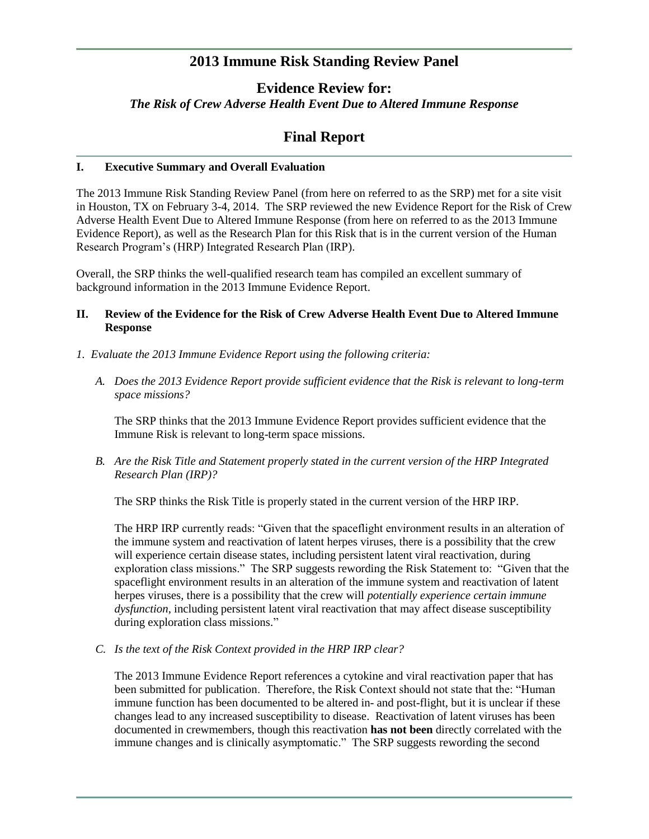# **2013 Immune Risk Standing Review Panel**

# **Evidence Review for:** *The Risk of Crew Adverse Health Event Due to Altered Immune Response*

# **Final Report**

## **I. Executive Summary and Overall Evaluation**

The 2013 Immune Risk Standing Review Panel (from here on referred to as the SRP) met for a site visit in Houston, TX on February 3-4, 2014. The SRP reviewed the new Evidence Report for the Risk of Crew Adverse Health Event Due to Altered Immune Response (from here on referred to as the 2013 Immune Evidence Report), as well as the Research Plan for this Risk that is in the current version of the Human Research Program's (HRP) Integrated Research Plan (IRP).

Overall, the SRP thinks the well-qualified research team has compiled an excellent summary of background information in the 2013 Immune Evidence Report.

## **II. Review of the Evidence for the Risk of Crew Adverse Health Event Due to Altered Immune Response**

- *1. Evaluate the 2013 Immune Evidence Report using the following criteria:*
	- *A. Does the 2013 Evidence Report provide sufficient evidence that the Risk is relevant to long-term space missions?*

The SRP thinks that the 2013 Immune Evidence Report provides sufficient evidence that the Immune Risk is relevant to long-term space missions.

*B. Are the Risk Title and Statement properly stated in the current version of the HRP Integrated Research Plan (IRP)?*

The SRP thinks the Risk Title is properly stated in the current version of the HRP IRP.

The HRP IRP currently reads: "Given that the spaceflight environment results in an alteration of the immune system and reactivation of latent herpes viruses, there is a possibility that the crew will experience certain disease states, including persistent latent viral reactivation, during exploration class missions." The SRP suggests rewording the Risk Statement to: "Given that the spaceflight environment results in an alteration of the immune system and reactivation of latent herpes viruses, there is a possibility that the crew will *potentially experience certain immune dysfunction*, including persistent latent viral reactivation that may affect disease susceptibility during exploration class missions."

## *C. Is the text of the Risk Context provided in the HRP IRP clear?*

The 2013 Immune Evidence Report references a cytokine and viral reactivation paper that has been submitted for publication. Therefore, the Risk Context should not state that the: "Human immune function has been documented to be altered in- and post-flight, but it is unclear if these changes lead to any increased susceptibility to disease. Reactivation of latent viruses has been documented in crewmembers, though this reactivation **has not been** directly correlated with the immune changes and is clinically asymptomatic." The SRP suggests rewording the second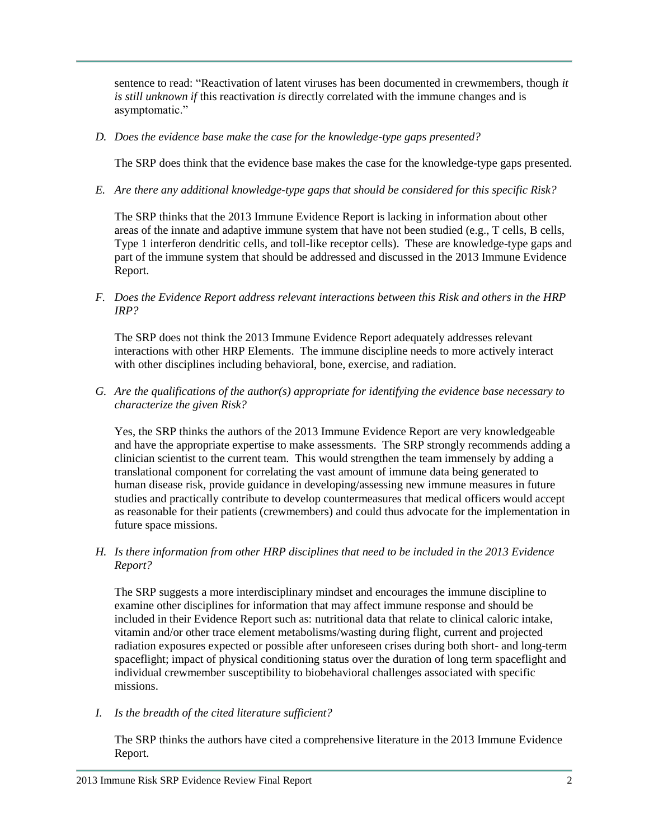sentence to read: "Reactivation of latent viruses has been documented in crewmembers, though *it is still unknown if* this reactivation *is* directly correlated with the immune changes and is asymptomatic."

*D. Does the evidence base make the case for the knowledge-type gaps presented?*

The SRP does think that the evidence base makes the case for the knowledge-type gaps presented.

*E. Are there any additional knowledge-type gaps that should be considered for this specific Risk?*

The SRP thinks that the 2013 Immune Evidence Report is lacking in information about other areas of the innate and adaptive immune system that have not been studied (e.g., T cells, B cells, Type 1 interferon dendritic cells, and toll-like receptor cells). These are knowledge-type gaps and part of the immune system that should be addressed and discussed in the 2013 Immune Evidence Report.

*F. Does the Evidence Report address relevant interactions between this Risk and others in the HRP IRP?*

The SRP does not think the 2013 Immune Evidence Report adequately addresses relevant interactions with other HRP Elements. The immune discipline needs to more actively interact with other disciplines including behavioral, bone, exercise, and radiation.

*G. Are the qualifications of the author(s) appropriate for identifying the evidence base necessary to characterize the given Risk?*

Yes, the SRP thinks the authors of the 2013 Immune Evidence Report are very knowledgeable and have the appropriate expertise to make assessments. The SRP strongly recommends adding a clinician scientist to the current team. This would strengthen the team immensely by adding a translational component for correlating the vast amount of immune data being generated to human disease risk, provide guidance in developing/assessing new immune measures in future studies and practically contribute to develop countermeasures that medical officers would accept as reasonable for their patients (crewmembers) and could thus advocate for the implementation in future space missions.

*H. Is there information from other HRP disciplines that need to be included in the 2013 Evidence Report?*

The SRP suggests a more interdisciplinary mindset and encourages the immune discipline to examine other disciplines for information that may affect immune response and should be included in their Evidence Report such as: nutritional data that relate to clinical caloric intake, vitamin and/or other trace element metabolisms/wasting during flight, current and projected radiation exposures expected or possible after unforeseen crises during both short- and long-term spaceflight; impact of physical conditioning status over the duration of long term spaceflight and individual crewmember susceptibility to biobehavioral challenges associated with specific missions.

*I. Is the breadth of the cited literature sufficient?*

The SRP thinks the authors have cited a comprehensive literature in the 2013 Immune Evidence Report.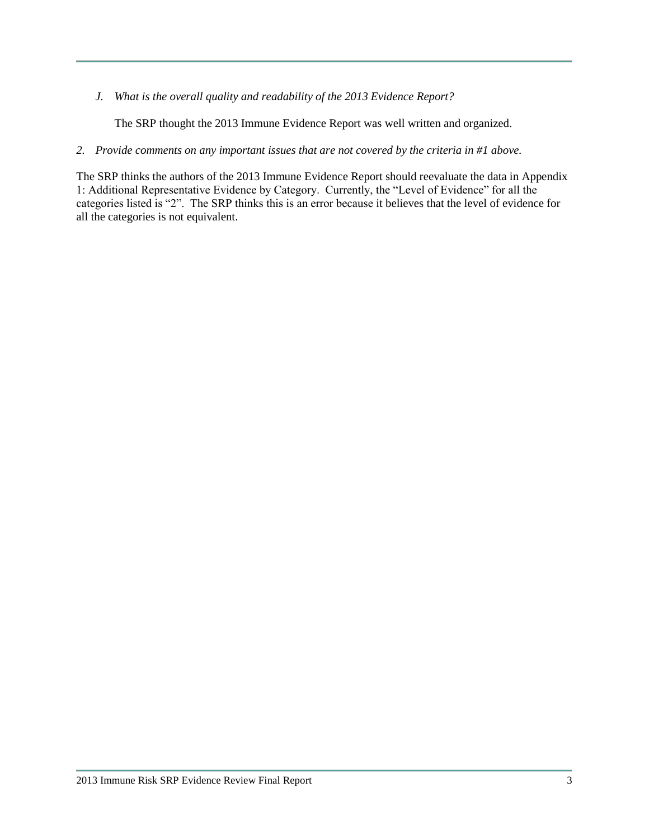*J. What is the overall quality and readability of the 2013 Evidence Report?*

The SRP thought the 2013 Immune Evidence Report was well written and organized.

*2. Provide comments on any important issues that are not covered by the criteria in #1 above.*

The SRP thinks the authors of the 2013 Immune Evidence Report should reevaluate the data in Appendix 1: Additional Representative Evidence by Category. Currently, the "Level of Evidence" for all the categories listed is "2". The SRP thinks this is an error because it believes that the level of evidence for all the categories is not equivalent.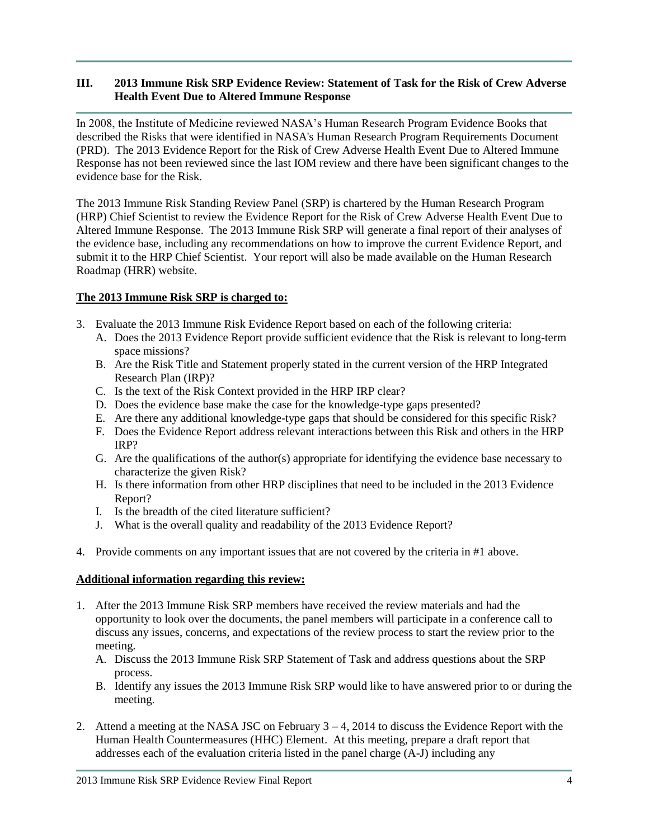## **III. 2013 Immune Risk SRP Evidence Review: Statement of Task for the Risk of Crew Adverse Health Event Due to Altered Immune Response**

In 2008, the Institute of Medicine reviewed NASA's Human Research Program Evidence Books that described the Risks that were identified in NASA's Human Research Program Requirements Document (PRD). The 2013 Evidence Report for the Risk of Crew Adverse Health Event Due to Altered Immune Response has not been reviewed since the last IOM review and there have been significant changes to the evidence base for the Risk.

The 2013 Immune Risk Standing Review Panel (SRP) is chartered by the Human Research Program (HRP) Chief Scientist to review the Evidence Report for the Risk of Crew Adverse Health Event Due to Altered Immune Response. The 2013 Immune Risk SRP will generate a final report of their analyses of the evidence base, including any recommendations on how to improve the current Evidence Report, and submit it to the HRP Chief Scientist. Your report will also be made available on the Human Research Roadmap (HRR) website.

## **The 2013 Immune Risk SRP is charged to:**

- 3. Evaluate the 2013 Immune Risk Evidence Report based on each of the following criteria:
	- A. Does the 2013 Evidence Report provide sufficient evidence that the Risk is relevant to long-term space missions?
	- B. Are the Risk Title and Statement properly stated in the current version of the HRP Integrated Research Plan (IRP)?
	- C. Is the text of the Risk Context provided in the HRP IRP clear?
	- D. Does the evidence base make the case for the knowledge-type gaps presented?
	- E. Are there any additional knowledge-type gaps that should be considered for this specific Risk?
	- F. Does the Evidence Report address relevant interactions between this Risk and others in the HRP IRP?
	- G. Are the qualifications of the author(s) appropriate for identifying the evidence base necessary to characterize the given Risk?
	- H. Is there information from other HRP disciplines that need to be included in the 2013 Evidence Report?
	- I. Is the breadth of the cited literature sufficient?
	- J. What is the overall quality and readability of the 2013 Evidence Report?
- 4. Provide comments on any important issues that are not covered by the criteria in #1 above.

## **Additional information regarding this review:**

- 1. After the 2013 Immune Risk SRP members have received the review materials and had the opportunity to look over the documents, the panel members will participate in a conference call to discuss any issues, concerns, and expectations of the review process to start the review prior to the meeting.
	- A. Discuss the 2013 Immune Risk SRP Statement of Task and address questions about the SRP process.
	- B. Identify any issues the 2013 Immune Risk SRP would like to have answered prior to or during the meeting.
- 2. Attend a meeting at the NASA JSC on February 3 4, 2014 to discuss the Evidence Report with the Human Health Countermeasures (HHC) Element. At this meeting, prepare a draft report that addresses each of the evaluation criteria listed in the panel charge (A-J) including any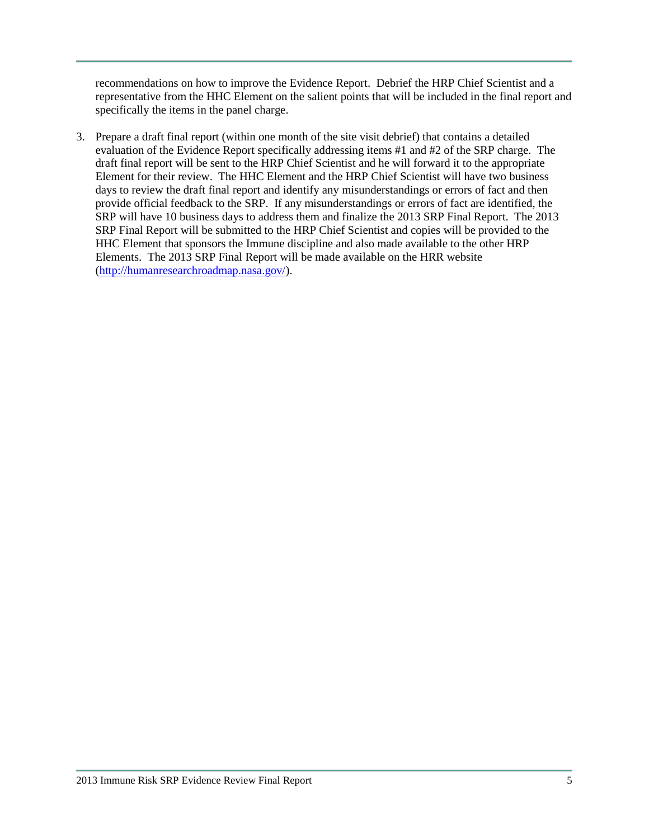recommendations on how to improve the Evidence Report. Debrief the HRP Chief Scientist and a representative from the HHC Element on the salient points that will be included in the final report and specifically the items in the panel charge.

3. Prepare a draft final report (within one month of the site visit debrief) that contains a detailed evaluation of the Evidence Report specifically addressing items #1 and #2 of the SRP charge. The draft final report will be sent to the HRP Chief Scientist and he will forward it to the appropriate Element for their review. The HHC Element and the HRP Chief Scientist will have two business days to review the draft final report and identify any misunderstandings or errors of fact and then provide official feedback to the SRP. If any misunderstandings or errors of fact are identified, the SRP will have 10 business days to address them and finalize the 2013 SRP Final Report. The 2013 SRP Final Report will be submitted to the HRP Chief Scientist and copies will be provided to the HHC Element that sponsors the Immune discipline and also made available to the other HRP Elements. The 2013 SRP Final Report will be made available on the HRR website [\(http://humanresearchroadmap.nasa.gov/\)](http://humanresearchroadmap.nasa.gov/).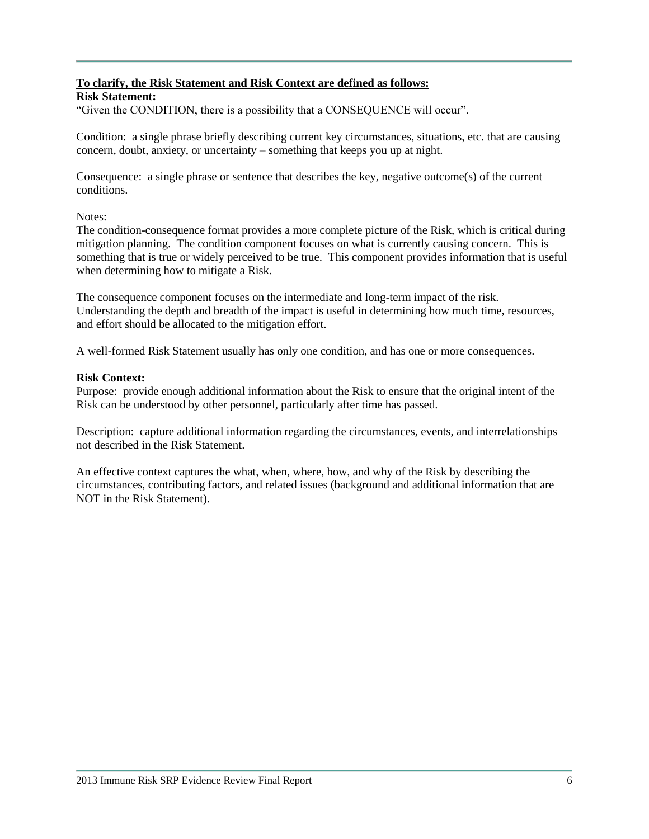# **To clarify, the Risk Statement and Risk Context are defined as follows:**

## **Risk Statement:**

"Given the CONDITION, there is a possibility that a CONSEQUENCE will occur".

Condition: a single phrase briefly describing current key circumstances, situations, etc. that are causing concern, doubt, anxiety, or uncertainty – something that keeps you up at night.

Consequence: a single phrase or sentence that describes the key, negative outcome(s) of the current conditions.

Notes:

The condition-consequence format provides a more complete picture of the Risk, which is critical during mitigation planning. The condition component focuses on what is currently causing concern. This is something that is true or widely perceived to be true. This component provides information that is useful when determining how to mitigate a Risk.

The consequence component focuses on the intermediate and long-term impact of the risk. Understanding the depth and breadth of the impact is useful in determining how much time, resources, and effort should be allocated to the mitigation effort.

A well-formed Risk Statement usually has only one condition, and has one or more consequences.

### **Risk Context:**

Purpose: provide enough additional information about the Risk to ensure that the original intent of the Risk can be understood by other personnel, particularly after time has passed.

Description: capture additional information regarding the circumstances, events, and interrelationships not described in the Risk Statement.

An effective context captures the what, when, where, how, and why of the Risk by describing the circumstances, contributing factors, and related issues (background and additional information that are NOT in the Risk Statement).